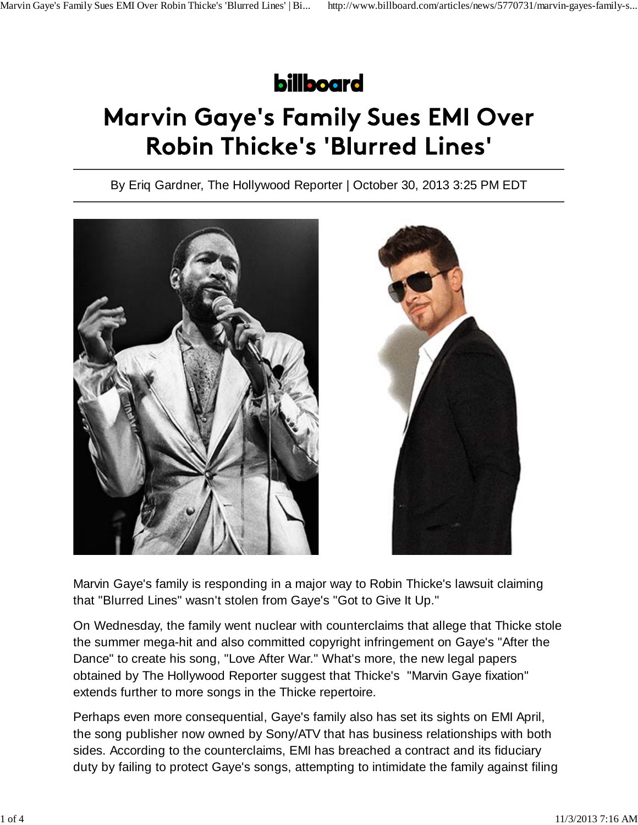## **billboard**

## **Marvin Gaye's Family Sues EMI Over Robin Thicke's 'Blurred Lines'**

By Eriq Gardner, The Hollywood Reporter | October 30, 2013 3:25 PM EDT



Marvin Gaye's family is responding in a major way to Robin Thicke's lawsuit claiming that "Blurred Lines" wasn't stolen from Gaye's "Got to Give It Up."

On Wednesday, the family went nuclear with counterclaims that allege that Thicke stole the summer mega-hit and also committed copyright infringement on Gaye's "After the Dance" to create his song, "Love After War." What's more, the new legal papers obtained by The Hollywood Reporter suggest that Thicke's "Marvin Gaye fixation" extends further to more songs in the Thicke repertoire.

Perhaps even more consequential, Gaye's family also has set its sights on EMI April, the song publisher now owned by Sony/ATV that has business relationships with both sides. According to the counterclaims, EMI has breached a contract and its fiduciary duty by failing to protect Gaye's songs, attempting to intimidate the family against filing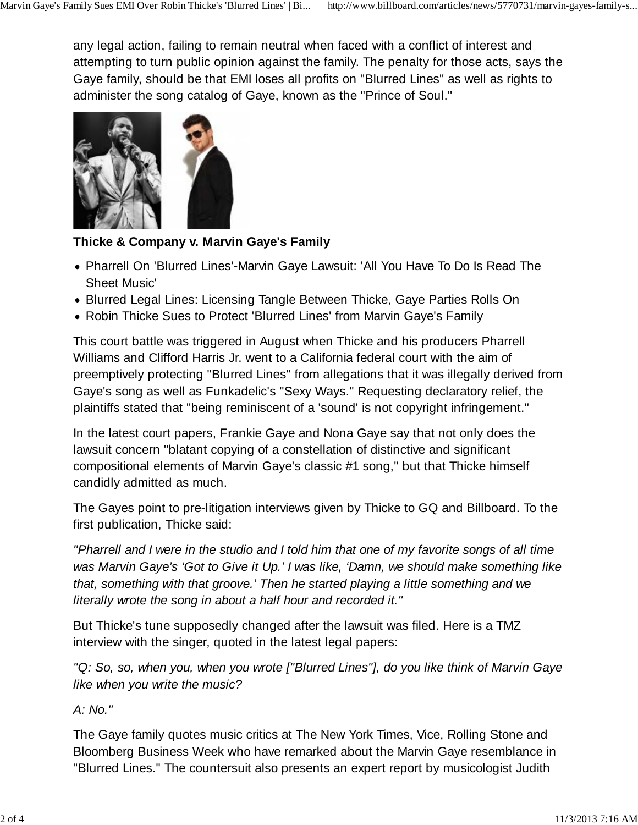any legal action, failing to remain neutral when faced with a conflict of interest and attempting to turn public opinion against the family. The penalty for those acts, says the Gaye family, should be that EMI loses all profits on "Blurred Lines" as well as rights to administer the song catalog of Gaye, known as the "Prince of Soul."



## **Thicke & Company v. Marvin Gaye's Family**

- Pharrell On 'Blurred Lines'-Marvin Gaye Lawsuit: 'All You Have To Do Is Read The Sheet Music'
- Blurred Legal Lines: Licensing Tangle Between Thicke, Gaye Parties Rolls On
- Robin Thicke Sues to Protect 'Blurred Lines' from Marvin Gaye's Family

This court battle was triggered in August when Thicke and his producers Pharrell Williams and Clifford Harris Jr. went to a California federal court with the aim of preemptively protecting "Blurred Lines" from allegations that it was illegally derived from Gaye's song as well as Funkadelic's "Sexy Ways." Requesting declaratory relief, the plaintiffs stated that "being reminiscent of a 'sound' is not copyright infringement."

In the latest court papers, Frankie Gaye and Nona Gaye say that not only does the lawsuit concern "blatant copying of a constellation of distinctive and significant compositional elements of Marvin Gaye's classic #1 song," but that Thicke himself candidly admitted as much.

The Gayes point to pre-litigation interviews given by Thicke to GQ and Billboard. To the first publication, Thicke said:

*"Pharrell and I were in the studio and I told him that one of my favorite songs of all time was Marvin Gaye's 'Got to Give it Up.' I was like, 'Damn, we should make something like that, something with that groove.' Then he started playing a little something and we literally wrote the song in about a half hour and recorded it."*

But Thicke's tune supposedly changed after the lawsuit was filed. Here is a TMZ interview with the singer, quoted in the latest legal papers:

*"Q: So, so, when you, when you wrote ["Blurred Lines"], do you like think of Marvin Gaye like when you write the music?*

*A: No."*

The Gaye family quotes music critics at The New York Times, Vice, Rolling Stone and Bloomberg Business Week who have remarked about the Marvin Gaye resemblance in "Blurred Lines." The countersuit also presents an expert report by musicologist Judith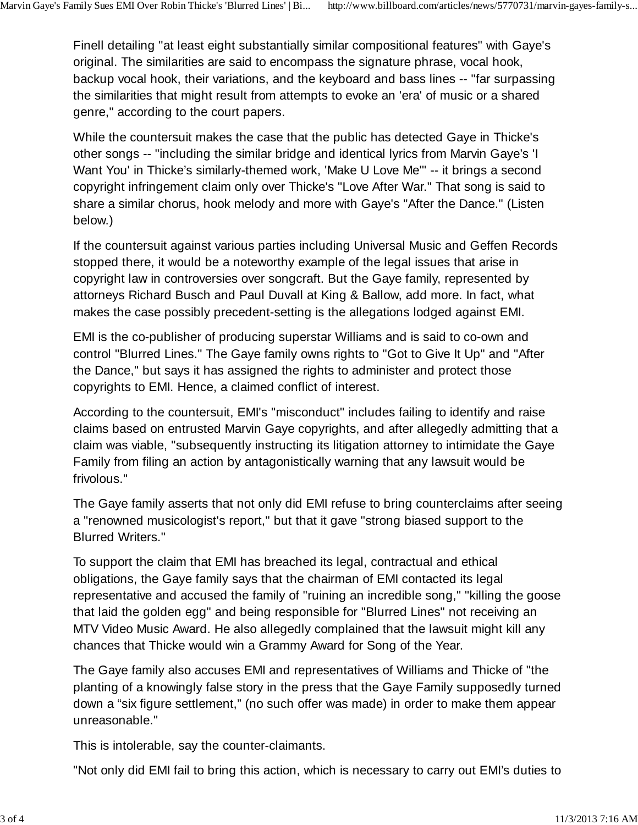Finell detailing "at least eight substantially similar compositional features" with Gaye's original. The similarities are said to encompass the signature phrase, vocal hook, backup vocal hook, their variations, and the keyboard and bass lines -- "far surpassing the similarities that might result from attempts to evoke an 'era' of music or a shared genre," according to the court papers.

While the countersuit makes the case that the public has detected Gaye in Thicke's other songs -- "including the similar bridge and identical lyrics from Marvin Gaye's 'I Want You' in Thicke's similarly-themed work, 'Make U Love Me'" -- it brings a second copyright infringement claim only over Thicke's "Love After War." That song is said to share a similar chorus, hook melody and more with Gaye's "After the Dance." (Listen below.)

If the countersuit against various parties including Universal Music and Geffen Records stopped there, it would be a noteworthy example of the legal issues that arise in copyright law in controversies over songcraft. But the Gaye family, represented by attorneys Richard Busch and Paul Duvall at King & Ballow, add more. In fact, what makes the case possibly precedent-setting is the allegations lodged against EMI.

EMI is the co-publisher of producing superstar Williams and is said to co-own and control "Blurred Lines." The Gaye family owns rights to "Got to Give It Up" and "After the Dance," but says it has assigned the rights to administer and protect those copyrights to EMI. Hence, a claimed conflict of interest.

According to the countersuit, EMI's "misconduct" includes failing to identify and raise claims based on entrusted Marvin Gaye copyrights, and after allegedly admitting that a claim was viable, "subsequently instructing its litigation attorney to intimidate the Gaye Family from filing an action by antagonistically warning that any lawsuit would be frivolous."

The Gaye family asserts that not only did EMI refuse to bring counterclaims after seeing a "renowned musicologist's report," but that it gave "strong biased support to the Blurred Writers."

To support the claim that EMI has breached its legal, contractual and ethical obligations, the Gaye family says that the chairman of EMI contacted its legal representative and accused the family of "ruining an incredible song," "killing the goose that laid the golden egg" and being responsible for "Blurred Lines" not receiving an MTV Video Music Award. He also allegedly complained that the lawsuit might kill any chances that Thicke would win a Grammy Award for Song of the Year.

The Gaye family also accuses EMI and representatives of Williams and Thicke of "the planting of a knowingly false story in the press that the Gaye Family supposedly turned down a "six figure settlement," (no such offer was made) in order to make them appear unreasonable."

This is intolerable, say the counter-claimants.

"Not only did EMI fail to bring this action, which is necessary to carry out EMI's duties to